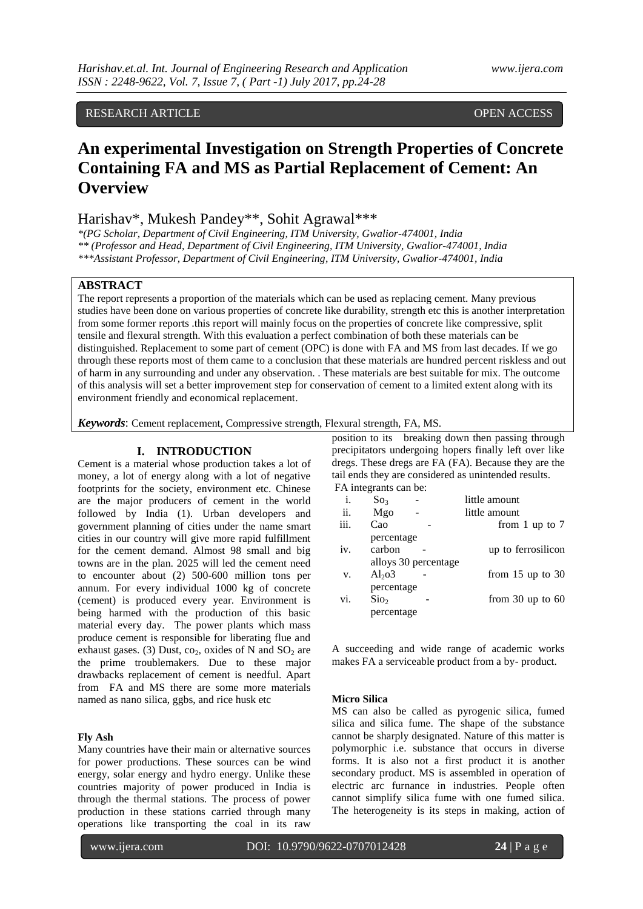## RESEARCH ARTICLE OPEN ACCESS

# **An experimental Investigation on Strength Properties of Concrete Containing FA and MS as Partial Replacement of Cement: An Overview**

## Harishav\*, Mukesh Pandey\*\*, Sohit Agrawal\*\*\*

*\*(PG Scholar, Department of Civil Engineering, ITM University, Gwalior-474001, India \*\* (Professor and Head, Department of Civil Engineering, ITM University, Gwalior-474001, India \*\*\*Assistant Professor, Department of Civil Engineering, ITM University, Gwalior-474001, India*

### **ABSTRACT**

The report represents a proportion of the materials which can be used as replacing cement. Many previous studies have been done on various properties of concrete like durability, strength etc this is another interpretation from some former reports .this report will mainly focus on the properties of concrete like compressive, split tensile and flexural strength. With this evaluation a perfect combination of both these materials can be distinguished. Replacement to some part of cement (OPC) is done with FA and MS from last decades. If we go through these reports most of them came to a conclusion that these materials are hundred percent riskless and out of harm in any surrounding and under any observation. . These materials are best suitable for mix. The outcome of this analysis will set a better improvement step for conservation of cement to a limited extent along with its environment friendly and economical replacement.

*Keywords*: Cement replacement, Compressive strength, Flexural strength, FA, MS.

#### **I. INTRODUCTION**

Cement is a material whose production takes a lot of money, a lot of energy along with a lot of negative footprints for the society, environment etc. Chinese are the major producers of cement in the world followed by India (1). Urban developers and government planning of cities under the name smart cities in our country will give more rapid fulfillment for the cement demand. Almost 98 small and big towns are in the plan. 2025 will led the cement need to encounter about (2) 500-600 million tons per annum. For every individual 1000 kg of concrete (cement) is produced every year. Environment is being harmed with the production of this basic material every day. The power plants which mass produce cement is responsible for liberating flue and exhaust gases. (3) Dust,  $co<sub>2</sub>$ , oxides of N and  $SO<sub>2</sub>$  are the prime troublemakers. Due to these major drawbacks replacement of cement is needful. Apart from FA and MS there are some more materials named as nano silica, ggbs, and rice husk etc

## **Fly Ash**

Many countries have their main or alternative sources for power productions. These sources can be wind energy, solar energy and hydro energy. Unlike these countries majority of power produced in India is through the thermal stations. The process of power production in these stations carried through many operations like transporting the coal in its raw

position to its breaking down then passing through precipitators undergoing hopers finally left over like dregs. These dregs are FA (FA). Because they are the tail ends they are considered as unintended results. FA integrants can be:

| i.   | $\mathrm{So}_3$      | little amount               |
|------|----------------------|-----------------------------|
| ii.  | Mgo                  | little amount               |
| iii. | Cao                  | from 1 up to $7$            |
|      | percentage           |                             |
| iv.  | carbon               | up to ferrosilicon          |
|      | alloys 30 percentage |                             |
| V.   | Al <sub>2</sub> 03   | from $15 \text{ up to } 30$ |
|      | percentage           |                             |
| vi.  | $S$ io <sub>2</sub>  | from $30 \text{ up to } 60$ |
|      | percentage           |                             |

A succeeding and wide range of academic works makes FA a serviceable product from a by- product.

#### **Micro Silica**

MS can also be called as pyrogenic silica, fumed silica and silica fume. The shape of the substance cannot be sharply designated. Nature of this matter is polymorphic i.e. substance that occurs in diverse forms. It is also not a first product it is another secondary product. MS is assembled in operation of electric arc furnance in industries. People often cannot simplify silica fume with one fumed silica. The heterogeneity is its steps in making, action of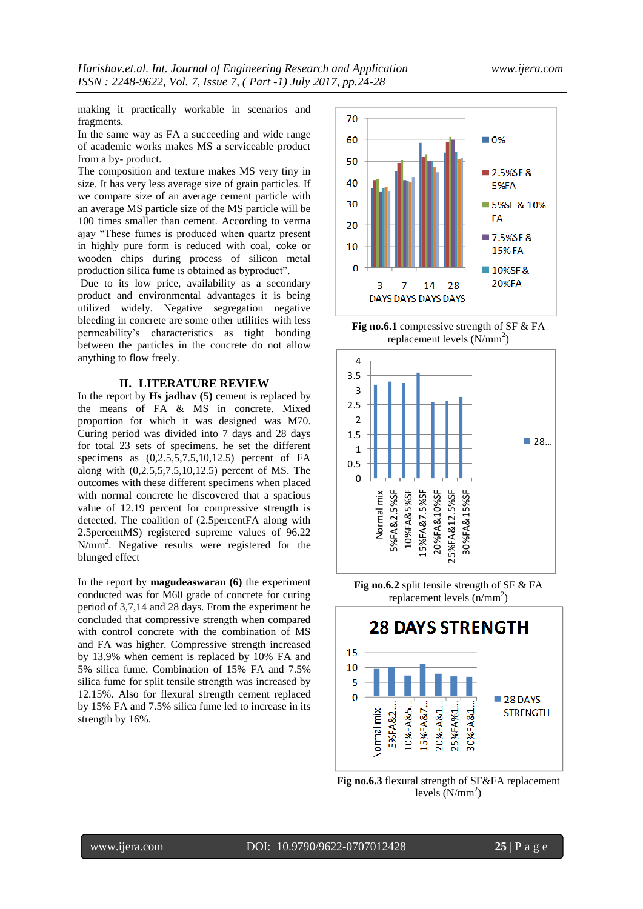making it practically workable in scenarios and fragments.

In the same way as FA a succeeding and wide range of academic works makes MS a serviceable product from a by- product.

The composition and texture makes MS very tiny in size. It has very less average size of grain particles. If we compare size of an average cement particle with an average MS particle size of the MS particle will be 100 times smaller than cement. According to verma ajay "These fumes is produced when quartz present in highly pure form is reduced with coal, coke or wooden chips during process of silicon metal production silica fume is obtained as byproduct".

Due to its low price, availability as a secondary product and environmental advantages it is being utilized widely. Negative segregation negative bleeding in concrete are some other utilities with less permeability's characteristics as tight bonding between the particles in the concrete do not allow anything to flow freely.

#### **II. LITERATURE REVIEW**

In the report by **Hs jadhav (5)** cement is replaced by the means of FA & MS in concrete. Mixed proportion for which it was designed was M70. Curing period was divided into 7 days and 28 days for total 23 sets of specimens. he set the different specimens as  $(0,2.5,5,7.5,10,12.5)$  percent of FA along with (0,2.5,5,7.5,10,12.5) percent of MS. The outcomes with these different specimens when placed with normal concrete he discovered that a spacious value of 12.19 percent for compressive strength is detected. The coalition of (2.5percentFA along with 2.5percentMS) registered supreme values of 96.22 N/mm<sup>2</sup> . Negative results were registered for the blunged effect

In the report by **magudeaswaran (6)** the experiment conducted was for M60 grade of concrete for curing period of 3,7,14 and 28 days. From the experiment he concluded that compressive strength when compared with control concrete with the combination of MS and FA was higher. Compressive strength increased by 13.9% when cement is replaced by 10% FA and 5% silica fume. Combination of 15% FA and 7.5% silica fume for split tensile strength was increased by 12.15%. Also for flexural strength cement replaced by 15% FA and 7.5% silica fume led to increase in its strength by 16%.



**Fig no.6.1** compressive strength of SF & FA replacement levels  $(N/mm^2)$ 



**Fig no.6.2** split tensile strength of SF & FA replacement levels  $(n/mm<sup>2</sup>)$ 



**Fig no.6.3** flexural strength of SF&FA replacement levels  $(N/mm<sup>2</sup>)$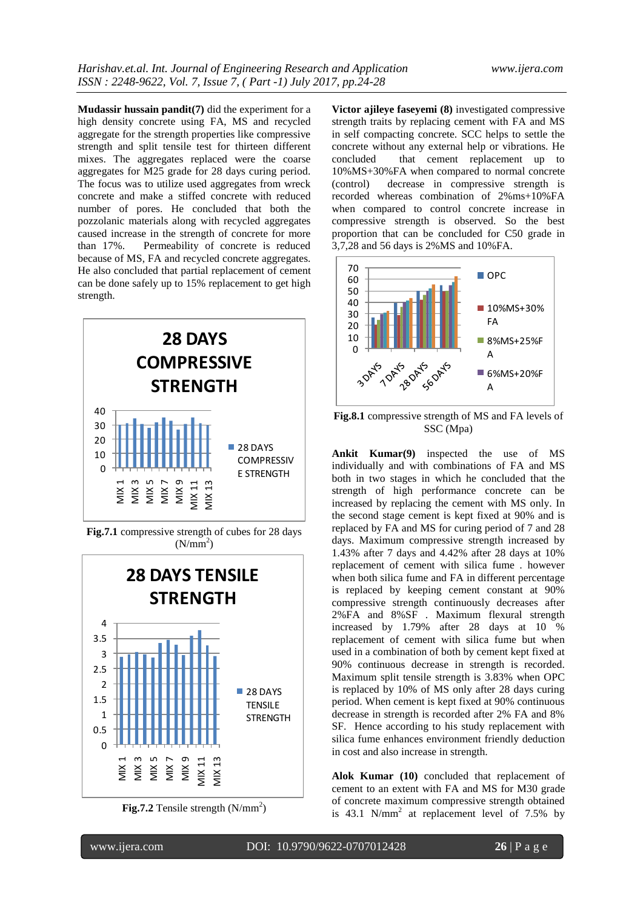**Mudassir hussain pandit(7)** did the experiment for a high density concrete using FA, MS and recycled aggregate for the strength properties like compressive strength and split tensile test for thirteen different mixes. The aggregates replaced were the coarse aggregates for M25 grade for 28 days curing period. The focus was to utilize used aggregates from wreck concrete and make a stiffed concrete with reduced number of pores. He concluded that both the pozzolanic materials along with recycled aggregates caused increase in the strength of concrete for more than 17%. Permeability of concrete is reduced because of MS, FA and recycled concrete aggregates. He also concluded that partial replacement of cement can be done safely up to 15% replacement to get high strength.



**Fig.7.1** compressive strength of cubes for 28 days  $(N/mm<sup>2</sup>)$ 



**Fig.7.2** Tensile strength  $(N/mm<sup>2</sup>)$ 

**Victor ajileye faseyemi (8)** investigated compressive strength traits by replacing cement with FA and MS in self compacting concrete. SCC helps to settle the concrete without any external help or vibrations. He that cement replacement up to 10%MS+30%FA when compared to normal concrete (control) decrease in compressive strength is recorded whereas combination of 2%ms+10%FA when compared to control concrete increase in compressive strength is observed. So the best proportion that can be concluded for C50 grade in 3,7,28 and 56 days is 2%MS and 10%FA.



**Fig.8.1** compressive strength of MS and FA levels of SSC (Mpa)

**Ankit Kumar(9)** inspected the use of MS individually and with combinations of FA and MS both in two stages in which he concluded that the strength of high performance concrete can be increased by replacing the cement with MS only. In the second stage cement is kept fixed at 90% and is replaced by FA and MS for curing period of 7 and 28 days. Maximum compressive strength increased by 1.43% after 7 days and 4.42% after 28 days at 10% replacement of cement with silica fume . however when both silica fume and FA in different percentage is replaced by keeping cement constant at 90% compressive strength continuously decreases after 2%FA and 8%SF . Maximum flexural strength increased by 1.79% after 28 days at 10 % replacement of cement with silica fume but when used in a combination of both by cement kept fixed at 90% continuous decrease in strength is recorded. Maximum split tensile strength is 3.83% when OPC is replaced by 10% of MS only after 28 days curing period. When cement is kept fixed at 90% continuous decrease in strength is recorded after 2% FA and 8% SF. Hence according to his study replacement with silica fume enhances environment friendly deduction in cost and also increase in strength.

**Alok Kumar (10)** concluded that replacement of cement to an extent with FA and MS for M30 grade of concrete maximum compressive strength obtained is  $43.1$  N/mm<sup>2</sup> at replacement level of 7.5% by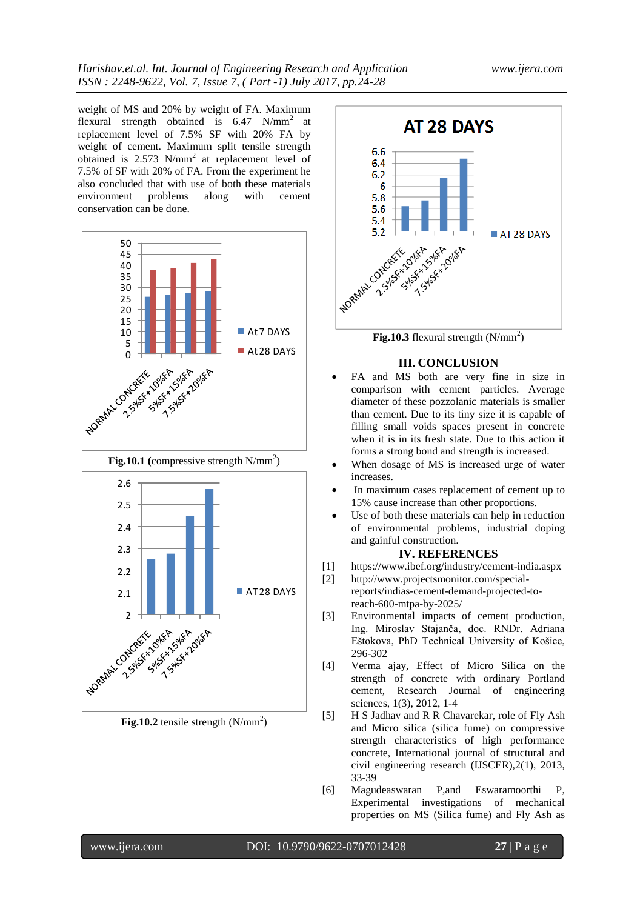weight of MS and 20% by weight of FA. Maximum flexural strength obtained is  $6.47 \text{ N/mm}^2$  at replacement level of 7.5% SF with 20% FA by weight of cement. Maximum split tensile strength obtained is  $2.573$  N/mm<sup>2</sup> at replacement level of 7.5% of SF with 20% of FA. From the experiment he also concluded that with use of both these materials environment problems along with cement conservation can be done.







**Fig.10.2** tensile strength  $(N/mm<sup>2</sup>)$ 



**Fig.10.3** flexural strength  $(N/mm<sup>2</sup>)$ 

## **III. CONCLUSION**

- FA and MS both are very fine in size in comparison with cement particles. Average diameter of these pozzolanic materials is smaller than cement. Due to its tiny size it is capable of filling small voids spaces present in concrete when it is in its fresh state. Due to this action it forms a strong bond and strength is increased.
- When dosage of MS is increased urge of water increases.
- In maximum cases replacement of cement up to 15% cause increase than other proportions.
- Use of both these materials can help in reduction of environmental problems, industrial doping and gainful construction.

#### **IV. REFERENCES**

- [1] <https://www.ibef.org/industry/cement-india.aspx>
- [2] http://www.projectsmonitor.com/specialreports/indias-cement-demand-projected-to-
- reach-600-mtpa-by-2025/
- [3] Environmental impacts of cement production, Ing. Miroslav Stajanča, doc. RNDr. Adriana Eštokova, PhD Technical University of Košice, 296-302
- [4] Verma ajay, Effect of Micro Silica on the strength of concrete with ordinary Portland cement, Research Journal of engineering sciences, 1(3), 2012, 1-4
- [5] H S Jadhav and R R Chavarekar, role of Fly Ash and Micro silica (silica fume) on compressive strength characteristics of high performance concrete, International journal of structural and civil engineering research (IJSCER),2(1), 2013, 33-39
- [6] Magudeaswaran P,and Eswaramoorthi P, Experimental investigations of mechanical properties on MS (Silica fume) and Fly Ash as